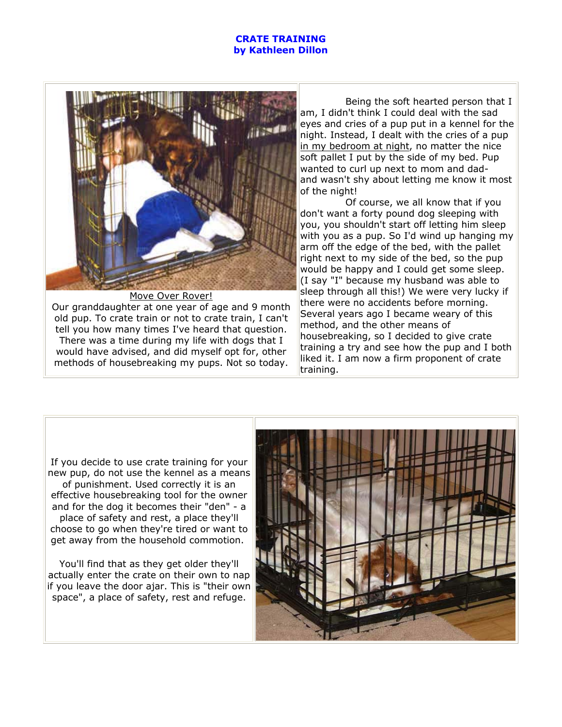## **CRATE TRAINING by Kathleen Dillon**



Move Over Rover! Our granddaughter at one year of age and 9 month old pup. To crate train or not to crate train, I can't tell you how many times I've heard that question. There was a time during my life with dogs that I would have advised, and did myself opt for, other methods of housebreaking my pups. Not so today.

 Being the soft hearted person that I am, I didn't think I could deal with the sad eyes and cries of a pup put in a kennel for the night. Instead, I dealt with the cries of a pup in my bedroom at night, no matter the nice soft pallet I put by the side of my bed. Pup wanted to curl up next to mom and dadand wasn't shy about letting me know it most of the night!

 Of course, we all know that if you don't want a forty pound dog sleeping with you, you shouldn't start off letting him sleep with you as a pup. So I'd wind up hanging my arm off the edge of the bed, with the pallet right next to my side of the bed, so the pup would be happy and I could get some sleep. (I say "I" because my husband was able to sleep through all this!) We were very lucky if there were no accidents before morning. Several years ago I became weary of this method, and the other means of housebreaking, so I decided to give crate training a try and see how the pup and I both liked it. I am now a firm proponent of crate training.

If you decide to use crate training for your new pup, do not use the kennel as a means of punishment. Used correctly it is an effective housebreaking tool for the owner and for the dog it becomes their "den" - a place of safety and rest, a place they'll choose to go when they're tired or want to get away from the household commotion.

You'll find that as they get older they'll actually enter the crate on their own to nap if you leave the door ajar. This is "their own space", a place of safety, rest and refuge.